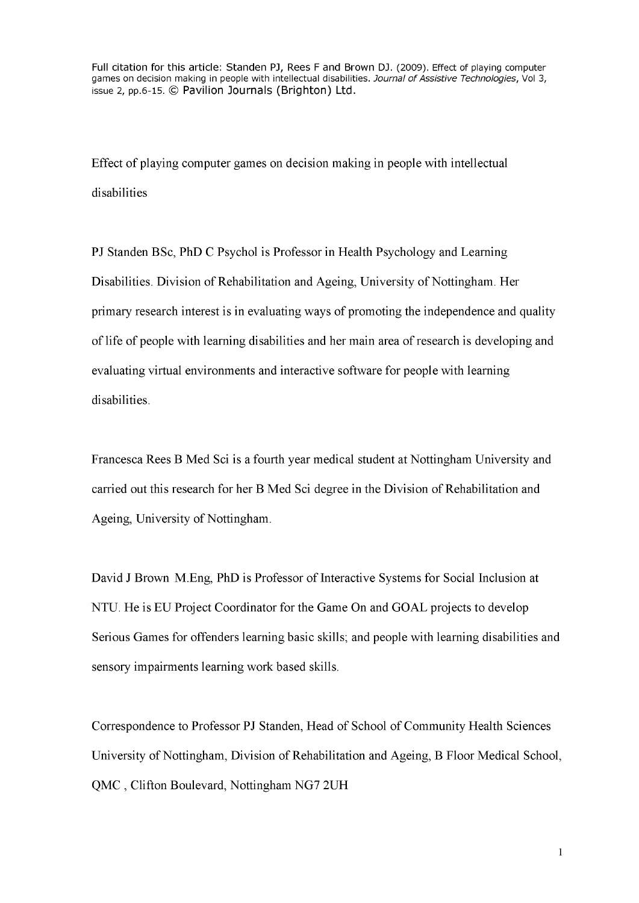Full citation for this article: Standen PJ, Rees F and Brown DJ. (2009). Effect of playing computer games on decision making in people with intellectual disabilities. Journal of Assistive Technologies, Vol 3, issue 2, pp.6-15. © Pavilion Journals (Brighton) Ltd.

Effect of playing computer games on decision making in people with intellectual disabilities

PJ Standen BSc, PhD C Psychol is Professor in Health Psychology and Learning Disabilities. Division of Rehabilitation and Ageing, University of Nottingham. Her primary research interest is in evaluating ways of promoting the independence and quality of life of people with learning disabilities and her main area of research is developing and evaluating virtual environments and interactive software for people with learning disabilities.

Francesca Rees B Med Sci is a fourth year medical student at Nottingham University and carried out this research for her B Med Sci degree in the Division of Rehabilitation and Ageing, University of Nottingham.

David J Brown M.Eng, PhD is Professor of Interactive Systems for Social Inclusion at NTU. He is EU Project Coordinator for the Game On and GOAL projects to develop Serious Games for offenders learning basic skills; and people with learning disabilities and sensory impairments learning work based skills.

Correspondence to Professor PJ Standen, Head of School of Community Health Sciences University of Nottingham, Division of Rehabilitation and Ageing, B Floor Medical School, QMC , Clifton Boulevard, Nottingham NG7 2UH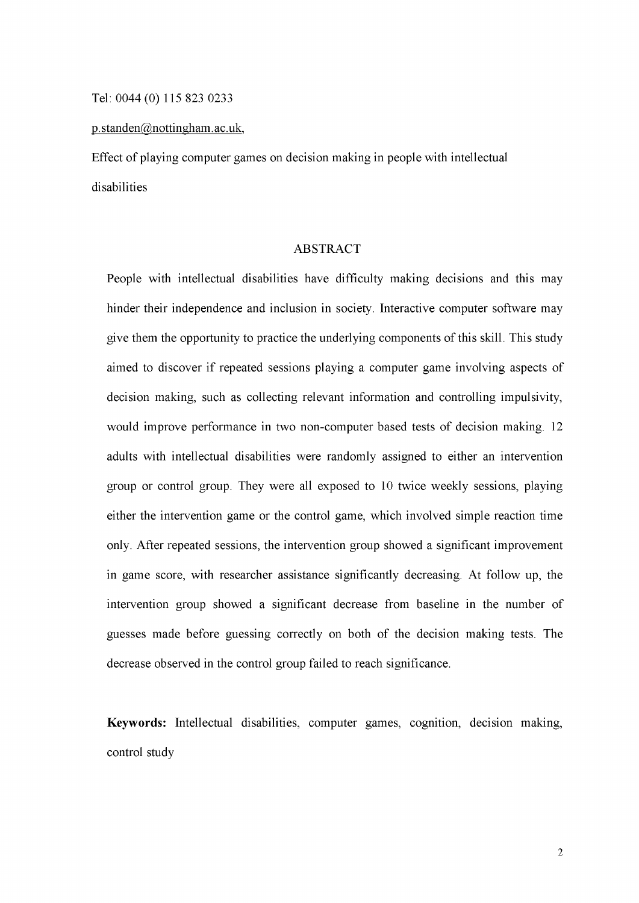p. standen@nottingham. ac. uk,

Effect of playing computer games on decision making in people with intellectual disabilities

## ABSTRACT

People with intellectual disabilities have difficulty making decisions and this may hinder their independence and inclusion in society. Interactive computer software may give them the opportunity to practice the underlying components of this skill. This study aimed to discover if repeated sessions playing a computer game involving aspects of decision making, such as collecting relevant information and controlling impulsivity, would improve performance in two non-computer based tests of decision making. 12 adults with intellectual disabilities were randomly assigned to either an intervention group or control group. They were all exposed to 10 twice weekly sessions, playing either the intervention game or the control game, which involved simple reaction time only. After repeated sessions, the intervention group showed a significant improvement in game score, with researcher assistance significantly decreasing. At follow up, the intervention group showed a significant decrease from baseline in the number of guesses made before guessing correctly on both of the decision making tests. The decrease observed in the control group failed to reach significance.

**Keywords:** Intellectual disabilities, computer games, cognition, decision making, control study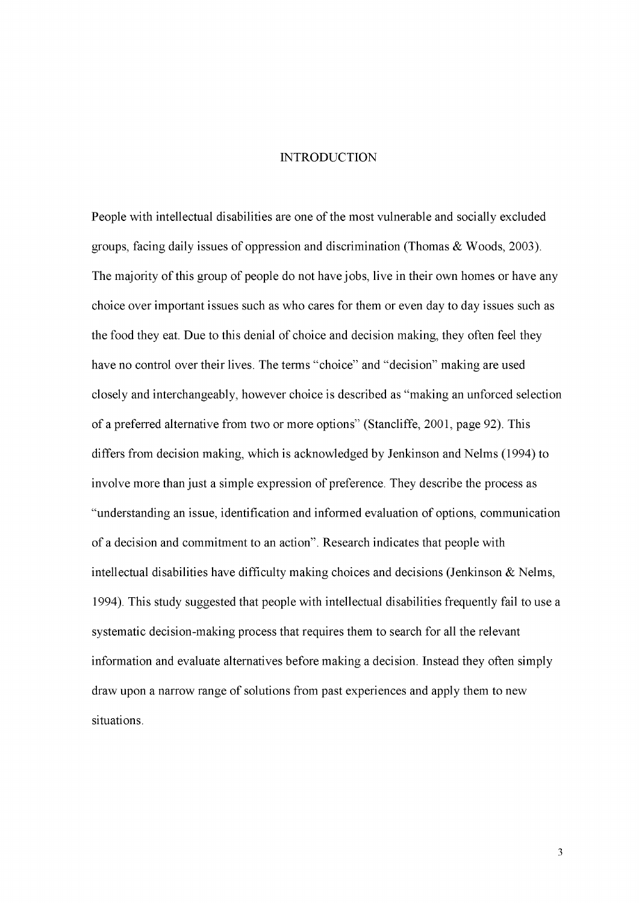#### INTRODUCTION

People with intellectual disabilities are one of the most vulnerable and socially excluded groups, facing daily issues of oppression and discrimination (Thomas & Woods, 2003). The majority of this group of people do not have jobs, live in their own homes or have any choice over important issues such as who cares for them or even day to day issues such as the food they eat. Due to this denial of choice and decision making, they often feel they have no control over their lives. The terms "choice" and "decision" making are used closely and interchangeably, however choice is described as "making an unforced selection of a preferred alternative from two or more options" (Stancliffe, 2001, page 92). This differs from decision making, which is acknowledged by Jenkinson and Nelms (1994) to involve more than just a simple expression of preference. They describe the process as "understanding an issue, identification and informed evaluation of options, communication of a decision and commitment to an action". Research indicates that people with intellectual disabilities have difficulty making choices and decisions (Jenkinson & Nelms, 1994). This study suggested that people with intellectual disabilities frequently fail to use a systematic decision-making process that requires them to search for all the relevant information and evaluate alternatives before making a decision. Instead they often simply draw upon a narrow range of solutions from past experiences and apply them to new situations.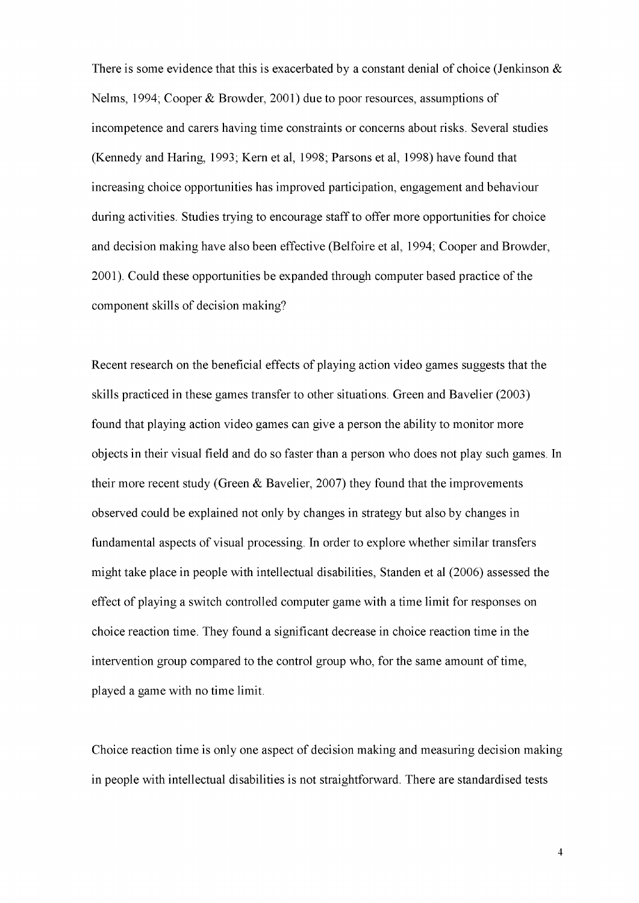There is some evidence that this is exacerbated by a constant denial of choice (Jenkinson  $\&$ Nelms, 1994; Cooper & Browder, 2001) due to poor resources, assumptions of incompetence and carers having time constraints or concerns about risks. Several studies (Kennedy and Haring, 1993; Kern et al, 1998; Parsons et al, 1998) have found that increasing choice opportunities has improved participation, engagement and behaviour during activities. Studies trying to encourage staff to offer more opportunities for choice and decision making have also been effective (Belfoire et al, 1994; Cooper and Browder, 2001). Could these opportunities be expanded through computer based practice of the component skills of decision making?

Recent research on the beneficial effects of playing action video games suggests that the skills practiced in these games transfer to other situations. Green and Bavelier (2003) found that playing action video games can give a person the ability to monitor more objects in their visual field and do so faster than a person who does not play such games. In their more recent study (Green & Bavelier, 2007) they found that the improvements observed could be explained not only by changes in strategy but also by changes in fundamental aspects of visual processing. In order to explore whether similar transfers might take place in people with intellectual disabilities, Standen et al (2006) assessed the effect of playing a switch controlled computer game with a time limit for responses on choice reaction time. They found a significant decrease in choice reaction time in the intervention group compared to the control group who, for the same amount of time, played a game with no time limit.

Choice reaction time is only one aspect of decision making and measuring decision making in people with intellectual disabilities is not straightforward. There are standardised tests

**4**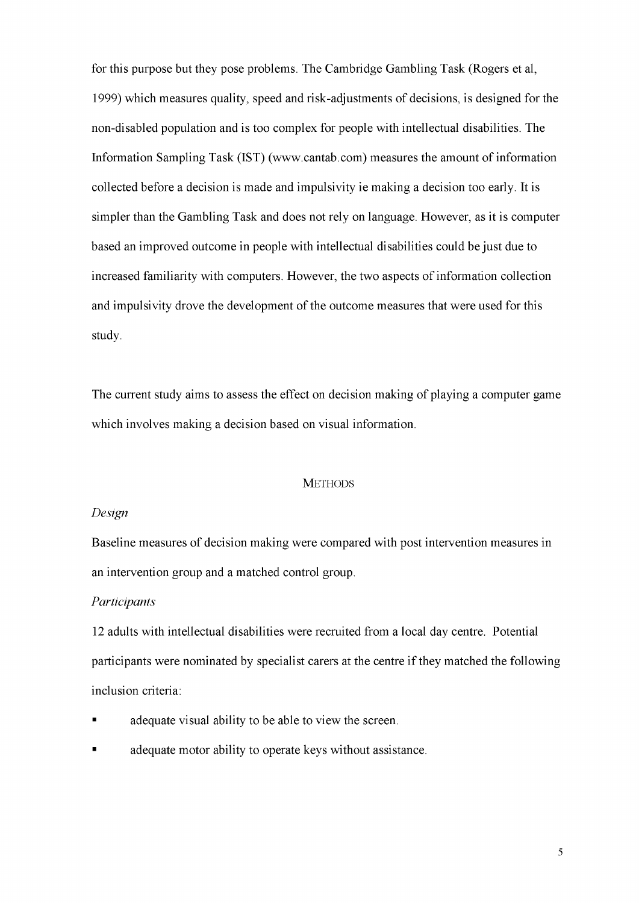for this purpose but they pose problems. The Cambridge Gambling Task (Rogers et al, 1999) which measures quality, speed and risk-adjustments of decisions, is designed for the non-disabled population and is too complex for people with intellectual disabilities. The Information Sampling Task (1ST) [\(www.cantab.com\)](http://www.cantab.com) measures the amount of information collected before a decision is made and impulsivity ie making a decision too early. It is simpler than the Gambling Task and does not rely on language. However, as it is computer based an improved outcome in people with intellectual disabilities could be just due to increased familiarity with computers. However, the two aspects of information collection and impulsivity drove the development of the outcome measures that were used for this study.

The current study aims to assess the effect on decision making of playing a computer game which involves making a decision based on visual information.

### **METHODS**

# *Design*

Baseline measures of decision making were compared with post intervention measures in an intervention group and a matched control group.

# *Participants*

12 adults with intellectual disabilities were recruited from a local day centre. Potential participants were nominated by specialist carers at the centre if they matched the following inclusion criteria:

- adequate visual ability to be able to view the screen.
- adequate motor ability to operate keys without assistance.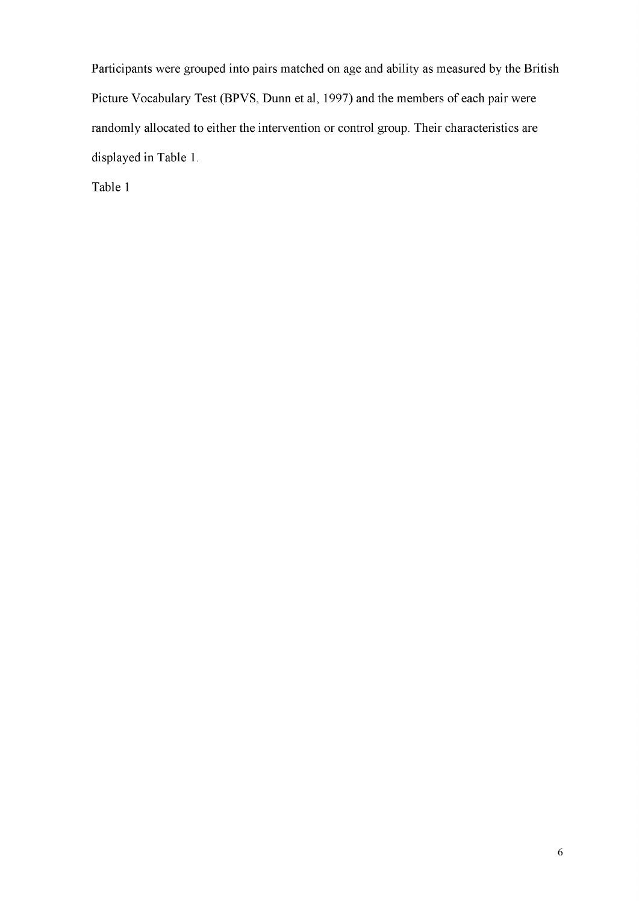Participants were grouped into pairs matched on age and ability as measured by the British Picture Vocabulary Test (BPVS, Dunn et al, 1997) and the members of each pair were randomly allocated to either the intervention or control group. Their characteristics are displayed in Table 1.

Table 1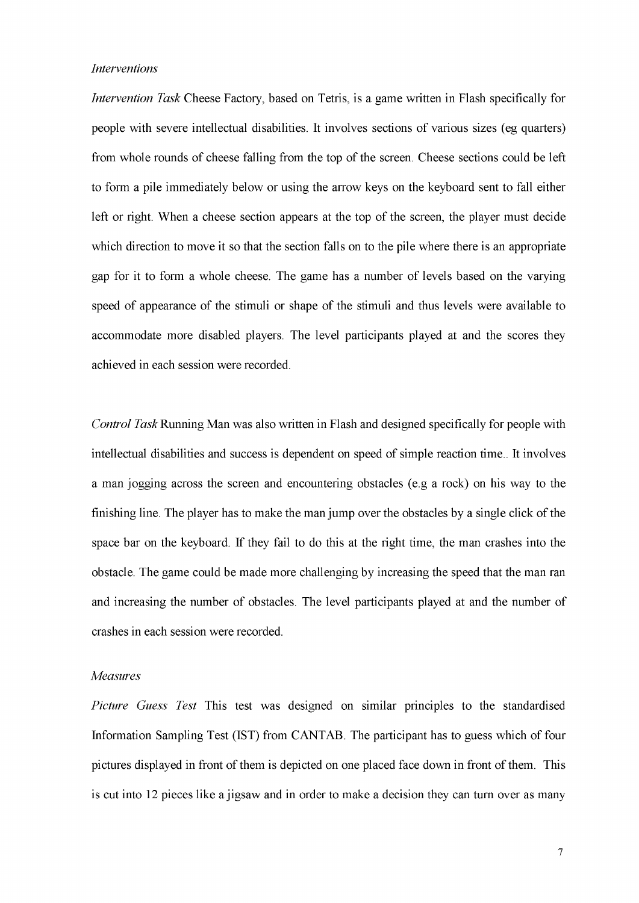### *Interventions*

*Intervention Task* Cheese Factory, based on Tetris, is a game written in Flash specifically for people with severe intellectual disabilities. It involves sections of various sizes (eg quarters) from whole rounds of cheese falling from the top of the screen. Cheese sections could be left to form a pile immediately below or using the arrow keys on the keyboard sent to fall either left or right. When a cheese section appears at the top of the screen, the player must decide which direction to move it so that the section falls on to the pile where there is an appropriate gap for it to form a whole cheese. The game has a number of levels based on the varying speed of appearance of the stimuli or shape of the stimuli and thus levels were available to accommodate more disabled players. The level participants played at and the scores they achieved in each session were recorded.

*Control Task* Running Man was also written in Flash and designed specifically for people with intellectual disabilities and success is dependent on speed of simple reaction time.. It involves a man jogging across the screen and encountering obstacles (e.g a rock) on his way to the finishing line. The player has to make the man jump over the obstacles by a single click of the space bar on the keyboard. If they fail to do this at the right time, the man crashes into the obstacle. The game could be made more challenging by increasing the speed that the man ran and increasing the number of obstacles. The level participants played at and the number of crashes in each session were recorded.

#### *Measures*

*Picture Guess Test* This test was designed on similar principles to the standardised Information Sampling Test (1ST) from CANTAB. The participant has to guess which of four pictures displayed in front of them is depicted on one placed face down in front of them. This is cut into 12 pieces like a jigsaw and in order to make a decision they can turn over as many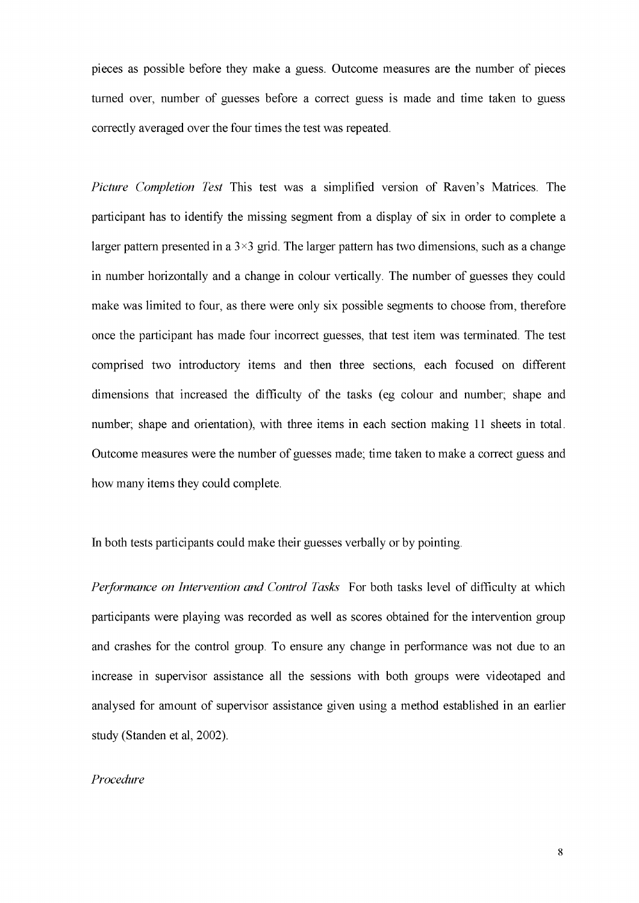pieces as possible before they make a guess. Outcome measures are the number of pieces turned over, number of guesses before a correct guess is made and time taken to guess correctly averaged over the four times the test was repeated.

*Picture Completion Test* This test was a simplified version of Raven's Matrices. The participant has to identify the missing segment from a display of six in order to complete a larger pattern presented in a  $3 \times 3$  grid. The larger pattern has two dimensions, such as a change in number horizontally and a change in colour vertically. The number of guesses they could make was limited to four, as there were only six possible segments to choose from, therefore once the participant has made four incorrect guesses, that test item was terminated. The test comprised two introductory items and then three sections, each focused on different dimensions that increased the difficulty of the tasks (eg colour and number; shape and number; shape and orientation), with three items in each section making 11 sheets in total. Outcome measures were the number of guesses made; time taken to make a correct guess and how many items they could complete.

In both tests participants could make their guesses verbally or by pointing.

*Performance on Intervention and Control Tasks* For both tasks level of difficulty at which participants were playing was recorded as well as scores obtained for the intervention group and crashes for the control group. To ensure any change in performance was not due to an increase in supervisor assistance all the sessions with both groups were videotaped and analysed for amount of supervisor assistance given using a method established in an earlier study (Standen et al, 2002).

### *Procedure*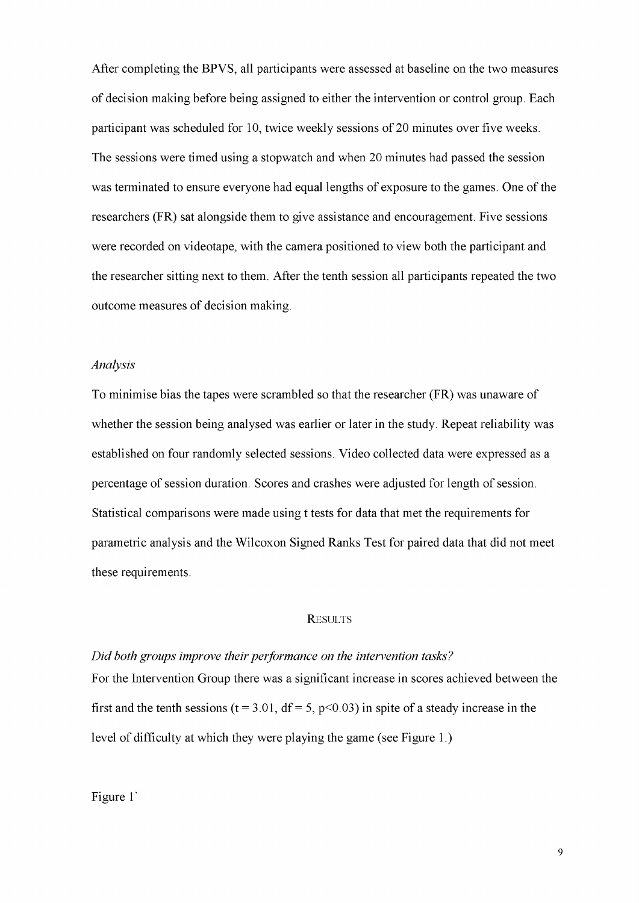After completing the BPVS, all participants were assessed at baseline on the two measures of decision making before being assigned to either the intervention or control group. Each participant was scheduled for 10, twice weekly sessions of 20 minutes over five weeks. The sessions were timed using a stopwatch and when 20 minutes had passed the session was terminated to ensure everyone had equal lengths of exposure to the games. One of the researchers (FR) sat alongside them to give assistance and encouragement. Five sessions were recorded on videotape, with the camera positioned to view both the participant and the researcher sitting next to them. After the tenth session all participants repeated the two outcome measures of decision making.

### *Analysis*

To minimise bias the tapes were scrambled so that the researcher (FR) was unaware of whether the session being analysed was earlier or later in the study. Repeat reliability was established on four randomly selected sessions. Video collected data were expressed as a percentage of session duration. Scores and crashes were adjusted for length of session. Statistical comparisons were made using t tests for data that met the requirements for parametric analysis and the Wilcoxon Signed Ranks Test for paired data that did not meet these requirements.

## **RESULTS**

*Did both groups improve their performance on the intervention tasks?*  For the Intervention Group there was a significant increase in scores achieved between the first and the tenth sessions ( $t = 3.01$ ,  $df = 5$ ,  $p < 0.03$ ) in spite of a steady increase in the level of difficulty at which they were playing the game (see Figure 1.)

Figure 1<sup>'</sup>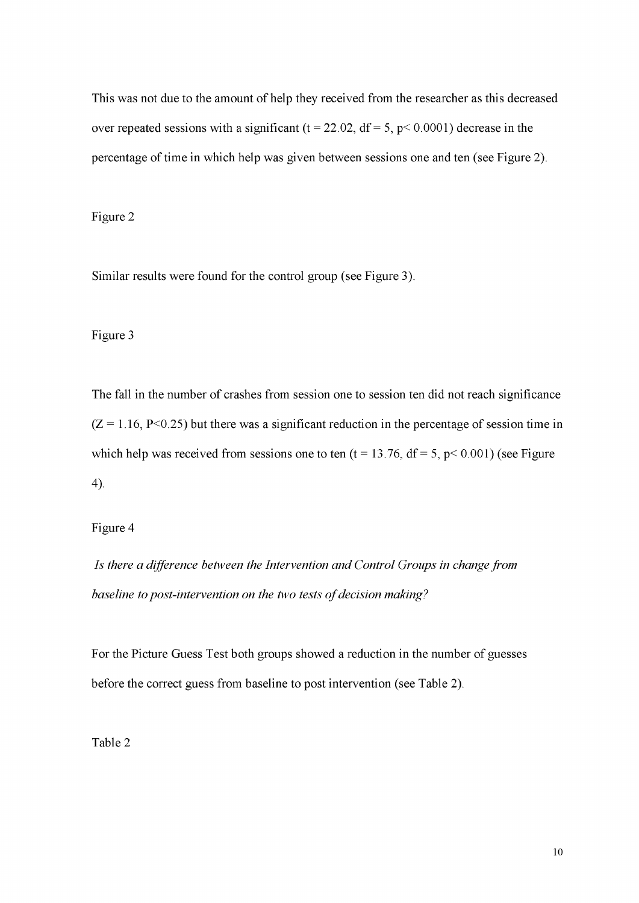This was not due to the amount of help they received from the researcher as this decreased over repeated sessions with a significant ( $t = 22.02$ ,  $df = 5$ ,  $p < 0.0001$ ) decrease in the percentage of time in which help was given between sessions one and ten (see Figure 2).

Figure 2

Similar results were found for the control group (see Figure 3).

Figure 3

The fall in the number of crashes from session one to session ten did not reach significance  $(Z = 1.16, P < 0.25)$  but there was a significant reduction in the percentage of session time in which help was received from sessions one to ten  $(t = 13.76, df = 5, p < 0.001)$  (see Figure 4).

Figure 4

*Is there a difference between the Intervention and Control Groups in change from baseline to post-intervention on the two tests of decision making?* 

For the Picture Guess Test both groups showed a reduction in the number of guesses before the correct guess from baseline to post intervention (see Table 2).

Table 2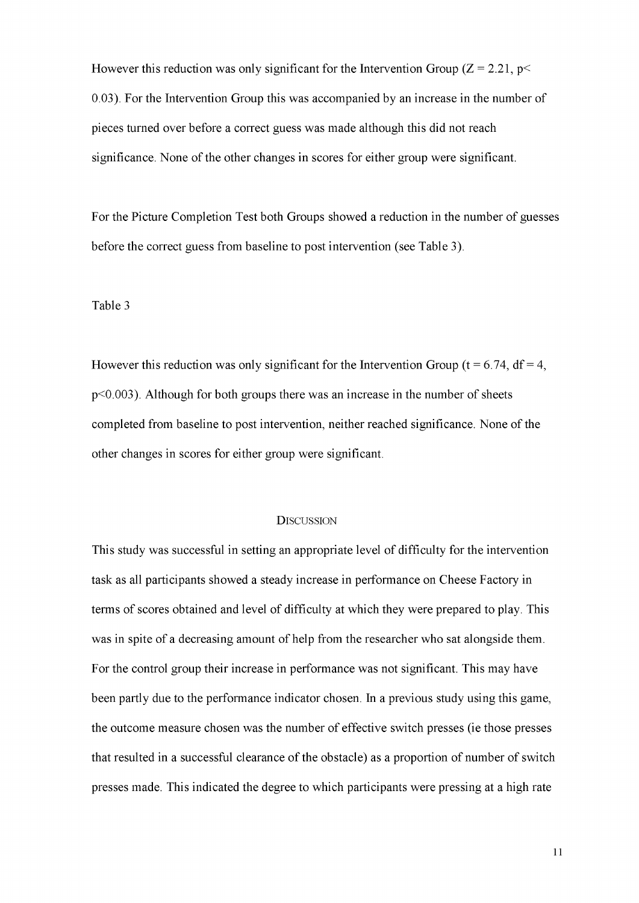However this reduction was only significant for the Intervention Group ( $Z = 2.21$ ,  $p \le$ 0.03). For the Intervention Group this was accompanied by an increase in the number of pieces turned over before a correct guess was made although this did not reach significance. None of the other changes in scores for either group were significant.

For the Picture Completion Test both Groups showed a reduction in the number of guesses before the correct guess from baseline to post intervention (see Table 3).

#### Table 3

However this reduction was only significant for the Intervention Group ( $t = 6.74$ ,  $df = 4$ , p<0.003). Although for both groups there was an increase in the number of sheets completed from baseline to post intervention, neither reached significance. None of the other changes in scores for either group were significant.

#### **DISCUSSION**

This study was successful in setting an appropriate level of difficulty for the intervention task as all participants showed a steady increase in performance on Cheese Factory in terms of scores obtained and level of difficulty at which they were prepared to play. This was in spite of a decreasing amount of help from the researcher who sat alongside them. For the control group their increase in performance was not significant. This may have been partly due to the performance indicator chosen. In a previous study using this game, the outcome measure chosen was the number of effective switch presses (ie those presses that resulted in a successful clearance of the obstacle) as a proportion of number of switch presses made. This indicated the degree to which participants were pressing at a high rate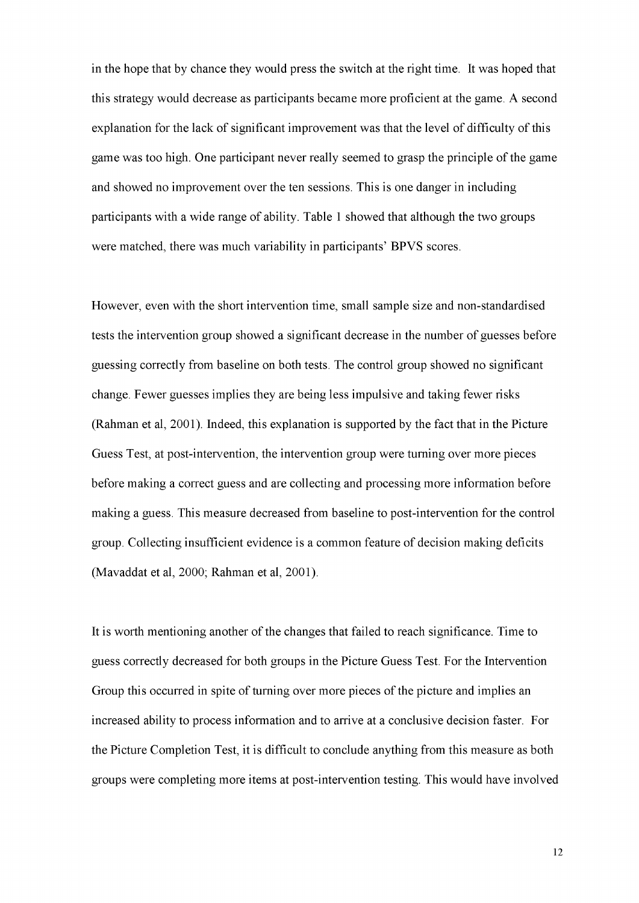in the hope that by chance they would press the switch at the right time. It was hoped that this strategy would decrease as participants became more proficient at the game. A second explanation for the lack of significant improvement was that the level of difficulty of this game was too high. One participant never really seemed to grasp the principle of the game and showed no improvement over the ten sessions. This is one danger in including participants with a wide range of ability. Table 1 showed that although the two groups were matched, there was much variability in participants' BPVS scores.

However, even with the short intervention time, small sample size and non-standardised tests the intervention group showed a significant decrease in the number of guesses before guessing correctly from baseline on both tests. The control group showed no significant change. Fewer guesses implies they are being less impulsive and taking fewer risks (Rahman et al, 2001). Indeed, this explanation is supported by the fact that in the Picture Guess Test, at post-intervention, the intervention group were turning over more pieces before making a correct guess and are collecting and processing more information before making a guess. This measure decreased from baseline to post-intervention for the control group. Collecting insufficient evidence is a common feature of decision making deficits (Mavaddat et al, 2000; Rahman et al, 2001).

It is worth mentioning another of the changes that failed to reach significance. Time to guess correctly decreased for both groups in the Picture Guess Test. For the Intervention Group this occurred in spite of turning over more pieces of the picture and implies an increased ability to process information and to arrive at a conclusive decision faster. For the Picture Completion Test, it is difficult to conclude anything from this measure as both groups were completing more items at post-intervention testing. This would have involved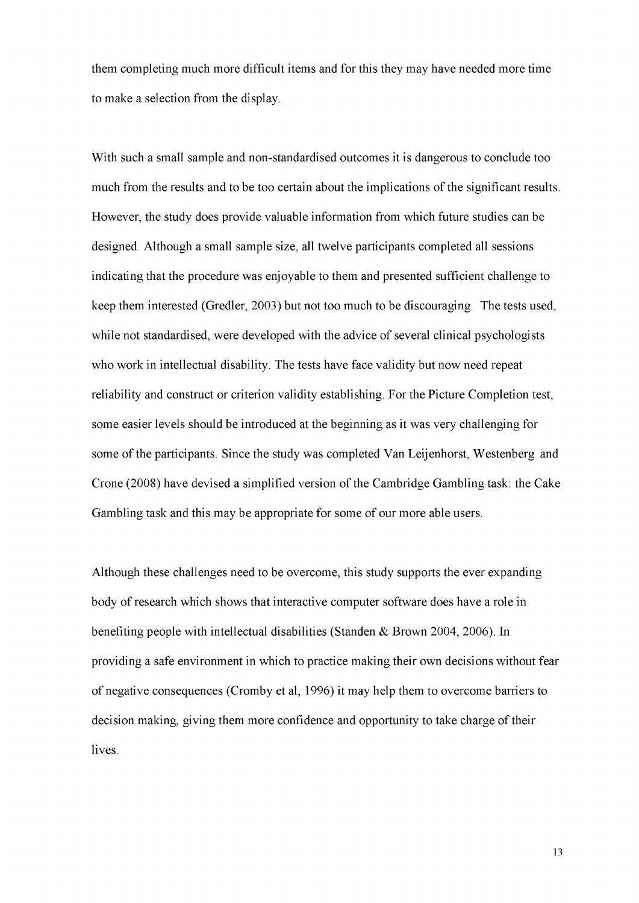them completing much more difficult items and for this they may have needed more time to make a selection from the display.

With such a small sample and non-standardised outcomes it is dangerous to conclude too much from the results and to be too certain about the implications of the significant results. However, the study does provide valuable information from which future studies can be designed. Although a small sample size, all twelve participants completed all sessions indicating that the procedure was enjoyable to them and presented sufficient challenge to keep them interested (Gredler, 2003) but not too much to be discouraging. The tests used, while not standardised, were developed with the advice of several clinical psychologists who work in intellectual disability. The tests have face validity but now need repeat reliability and construct or criterion validity establishing. For the Picture Completion test, some easier levels should be introduced at the beginning as it was very challenging for some of the participants. Since the study was completed Van Leijenhorst, Westenberg and Crone (2008) have devised a simplified version of the Cambridge Gambling task: the Cake Gambling task and this may be appropriate for some of our more able users.

Although these challenges need to be overcome, this study supports the ever expanding body of research which shows that interactive computer software does have a role in benefiting people with intellectual disabilities (Standen & Brown 2004, 2006). In providing a safe environment in which to practice making their own decisions without fear of negative consequences (Cromby et al, 1996) it may help them to overcome barriers to decision making, giving them more confidence and opportunity to take charge of their lives.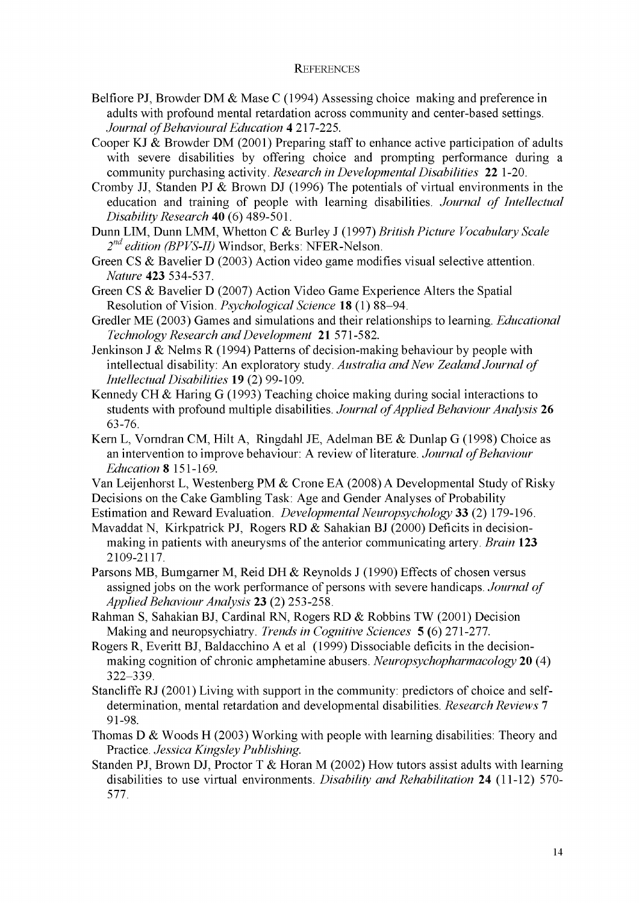## **REFERENCES**

Belfiore PJ, Browder DM & Mase C (1994) Assessing choice making and preference in adults with profound mental retardation across community and center-based settings. *Journal of Behavioural Education* 4 217-225.

Cooper KJ & Browder DM (2001) Preparing staff to enhance active participation of adults with severe disabilities by offering choice and prompting performance during a community purchasing activity. *Research in Developmental Disabilities* **22** 1-20.

- Cromby JJ, Standen PJ & Brown DJ (1996) The potentials of virtual environments in the education and training of people with learning disabilities. *Journal of Intellectual Disability Research* 40 (6) 489-501.
- Dunn LEVI, Dunn LMM , Whetton C & Burley J (1997) *British Picture Vocabulary Scale 2 nd edition (BPVS-II)* Windsor, Berks: NFER-Nelson.
- Green CS & Bavelier D (2003) Action video game modifies visual selective attention. *Nature* **423** 534-537.
- Green CS & Bavelier D (2007) Action Video Game Experience Alters the Spatial Resolution of Vision. *Psychological Science* 18 (1) 88-94.
- Gredler ME (2003) Games and simulations and their relationships to learning. *Educational Technology Research and Development* **21** 571-582.
- Jenkinson J  $\&$  Nelms R (1994) Patterns of decision-making behaviour by people with intellectual disability: An exploratory study. *Australia and New Zealand Journal of Intellectual Disabilities* 19 (2) 99-109.
- Kennedy CH & Haring G (1993) Teaching choice making during social interactions to students with profound multiple disabilities. *Journal of Applied Behaviour Analysis* 26 63-76.
- Kern L, Vorndran CM, Hilt A, Ringdahl JE, Adelman BE & Dunlap G (1998) Choice as an intervention to improve behaviour: A review of literature. *Journal of Behaviour Education* 8 151-169.

Van Leijenhorst L, Westenberg PM & Crone EA (2008) A Developmental Study of Risky Decisions on the Cake Gambling Task: Age and Gender Analyses of Probability

Estimation and Reward Evaluation. *Developmental Neuropsychology* **33** (2) 179-196.

- Mavaddat N, Kirkpatrick PJ, Rogers RD  $\&$  Sahakian BJ (2000) Deficits in decisionmaking in patients with aneurysms of the anterior communicating artery. *Brain* **123**  2109-2117.
- Parsons MB, Bumgarner M, Reid DH & Reynolds J (1990) Effects of chosen versus assigned jobs on the work performance of persons with severe handicaps. *Journal of Applied Behaviour Analysis* **23** (2) 253-258.
- Rahman S, Sahakian BJ, Cardinal RN, Rogers RD & Robbins TW (2001) Decision Making and neuropsychiatry. *Trends in Cognitive Sciences* 5 (6) 271-277.
- Rogers R, Everitt BJ, Baldacchino A et al (1999) Dissociable deficits in the decisionmaking cognition of chronic amphetamine abusers. *Neuropsychopharmacology* 20 (4) 322-339.
- Stancliffe RJ (2001) Living with support in the community: predictors of choice and selfdetermination, mental retardation and developmental disabilities. *Research Reviews* 7 91-98.
- Thomas D & Woods H (2003) Working with people with learning disabilities: Theory and Practice. *Jessica Kingsley Publishing.*
- Standen PJ, Brown DJ, Proctor T & Horan M (2002) How tutors assist adults with learning disabilities to use virtual environments. *Disability and Rehabilitation* **24** (11-12) 570- 577.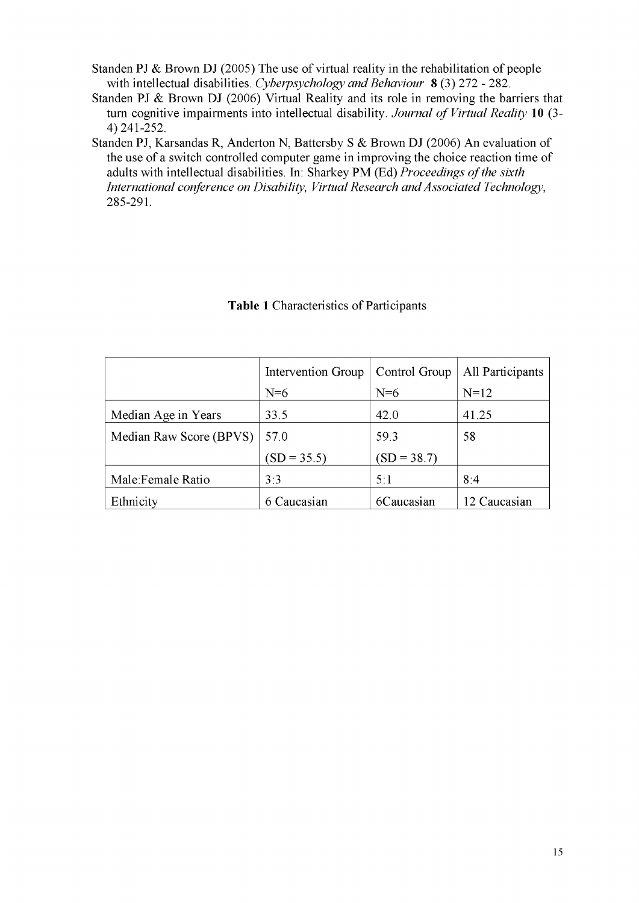Standen PJ & Brown DJ (2005) The use of virtual reality in the rehabilitation of people with intellectual disabilities. *Cyberpsychology and Behaviour* 8 (3) 272 - 282.

- Standen PJ & Brown DJ (2006) Virtual Reality and its role in removing the barriers that turn cognitive impairments into intellectual disability. *Journal of Virtual Reality* 10 (3- 4)241-252.
- Standen PJ, Karsandas R, Anderton N, Battersby S & Brown DJ (2006) An evaluation of the use of a switch controlled computer game in improving the choice reaction time of adults with intellectual disabilities. In: Sharkey PM (Ed) Proceedings of the sixth *International conference on Disability, Virtual Research and Associated Technology,*  285-291.

|                         | Intervention Group | Control Group | All Participants |
|-------------------------|--------------------|---------------|------------------|
|                         | $N=6$              | $N=6$         | $N=12$           |
| Median Age in Years     | 33.5               | 42.0          | 41.25            |
| Median Raw Score (BPVS) | 57.0               | 59.3          | 58               |
|                         | $SD = 35.5$        | $(SD = 38.7)$ |                  |
| Male: Female Ratio      | 3:3                | 5:1           | 8:4              |
| Ethnicity               | 6 Caucasian        | 6Caucasian    | 12 Caucasian     |

# **Table 1** Characteristics of Participants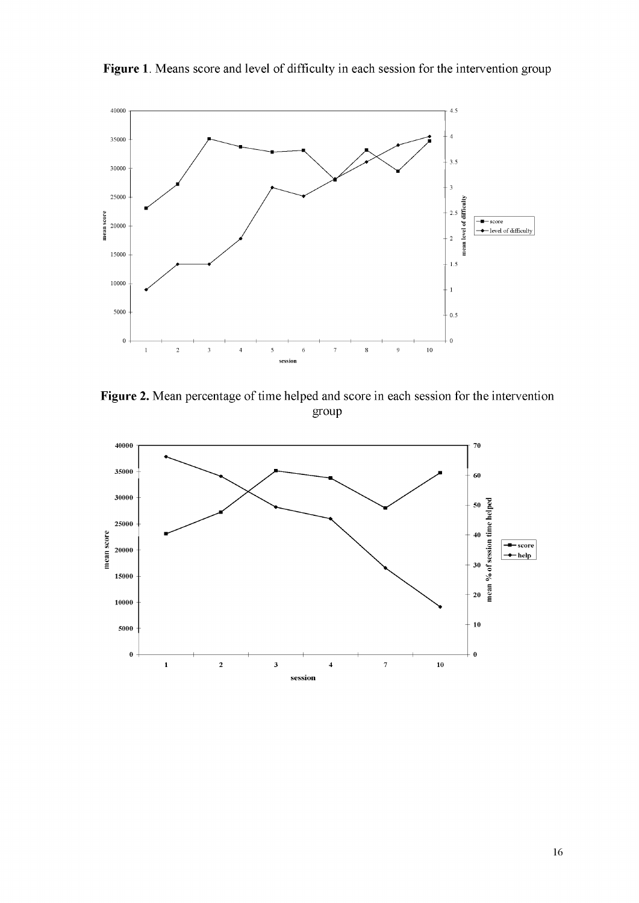

Figure 1. Means score and level of difficulty in each session for the intervention group

**Figure 2.** Mean percentage of time helped and score in each session for the intervention group

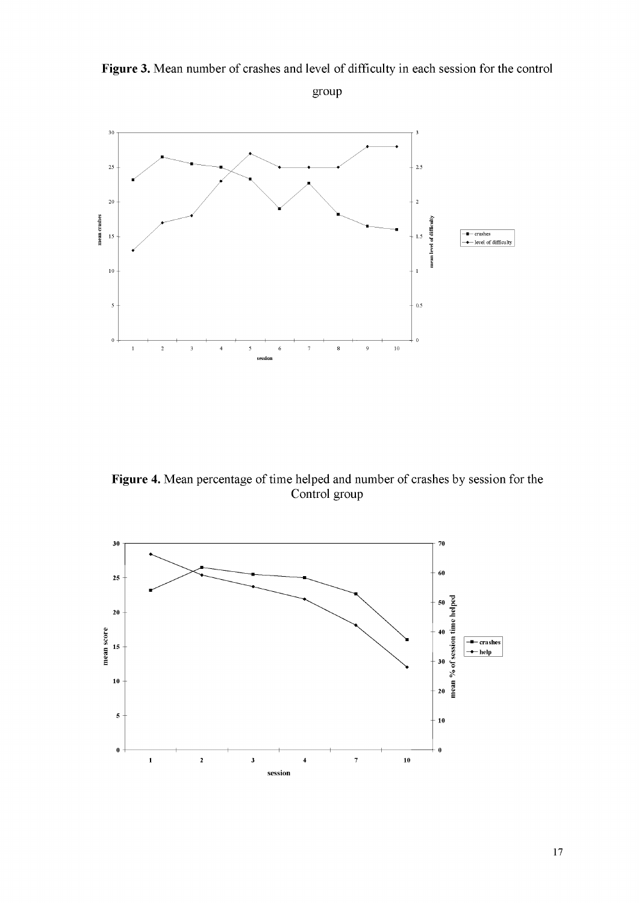

**Figure 3.** Mean number of crashes and level of difficulty in each session for the control group

**Figure 4.** Mean percentage of time helped and number of crashes by session for the Control group